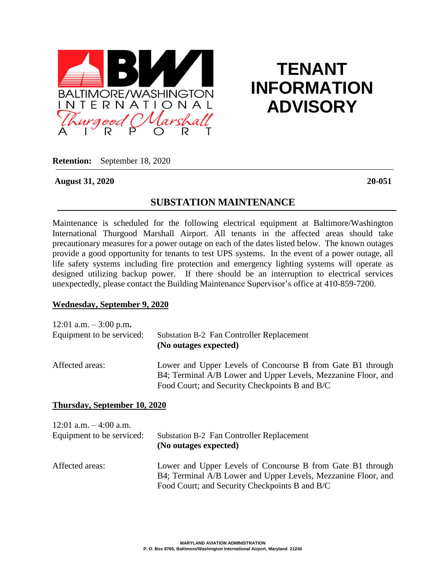

# **TENANT INFORMATION ADVISORY**

**Retention:** September 18, 2020

#### **August 31, 2020 20-051**

## **SUBSTATION MAINTENANCE**

Maintenance is scheduled for the following electrical equipment at Baltimore/Washington International Thurgood Marshall Airport. All tenants in the affected areas should take precautionary measures for a power outage on each of the dates listed below. The known outages provide a good opportunity for tenants to test UPS systems. In the event of a power outage, all life safety systems including fire protection and emergency lighting systems will operate as designed utilizing backup power. If there should be an interruption to electrical services unexpectedly, please contact the Building Maintenance Supervisor's office at 410-859-7200.

#### **Wednesday, September 9, 2020**

| 12:01 a.m. $-3:00$ p.m.   | <b>Substation B-2 Fan Controller Replacement</b>                                                                                                                              |
|---------------------------|-------------------------------------------------------------------------------------------------------------------------------------------------------------------------------|
| Equipment to be serviced: | (No outages expected)                                                                                                                                                         |
| Affected areas:           | Lower and Upper Levels of Concourse B from Gate B1 through<br>B4; Terminal A/B Lower and Upper Levels, Mezzanine Floor, and<br>Food Court; and Security Checkpoints B and B/C |

#### **Thursday, September 10, 2020**

| 12:01 a.m. $-4:00$ a.m.   | <b>Substation B-2 Fan Controller Replacement</b>                                                                                                                              |
|---------------------------|-------------------------------------------------------------------------------------------------------------------------------------------------------------------------------|
| Equipment to be serviced: | (No outages expected)                                                                                                                                                         |
| Affected areas:           | Lower and Upper Levels of Concourse B from Gate B1 through<br>B4; Terminal A/B Lower and Upper Levels, Mezzanine Floor, and<br>Food Court; and Security Checkpoints B and B/C |